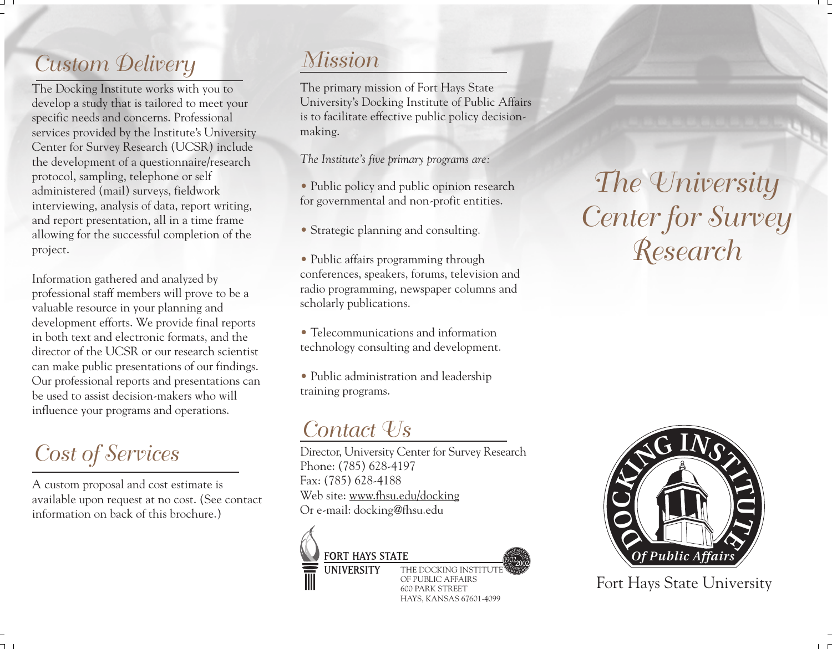# *Custom Delivery*

The Docking Institute works with you to develop a study that is tailored to meet your specific needs and concerns. Professional services provided by the Institute's University Center for Survey Research (UCSR) include the development of a questionnaire/research protocol, sampling, telephone or self administered (mail) surveys, fieldwork interviewing, analysis of data, report writing, and report presentation, all in a time frame allowing for the successful completion of the project.

Information gathered and analyzed by professional staff members will prove to be a valuable resource in your planning and development efforts. We provide final reports in both text and electronic formats, and the director of the UCSR or our research scientist can make public presentations of our findings. Our professional reports and presentations can be used to assist decision-makers who will influence your programs and operations.

# *Cost of Services*

A custom proposal and cost estimate is available upon request at no cost. (See contact information on back of this brochure.)

## *Mission*

The primary mission of Fort Hays State University's Docking Institute of Public Affairs is to facilitate effective public policy decisionmaking.

*The Institute's five primary programs are:*

- Public policy and public opinion research for governmental and non-profit entities.
- Strategic planning and consulting.
- Public affairs programming through conferences, speakers, forums, television and radio programming, newspaper columns and scholarly publications.
- Telecommunications and information technology consulting and development.
- Public administration and leadership training programs.

## *Contact Us*

Director, University Center for Survey Research Phone: (785) 628-4197 Fax: (785) 628-4188 Web site: www.fhsu.edu/docking Or e-mail: docking@fhsu.edu



**UNIVERSITY** 



THE DOCKING INSTITUTI OF PUBLIC AFFAIRS 600 PARK STREET HAYS, KANSAS 67601-4099

*The University Center for Survey Research*



Fort Hays State University